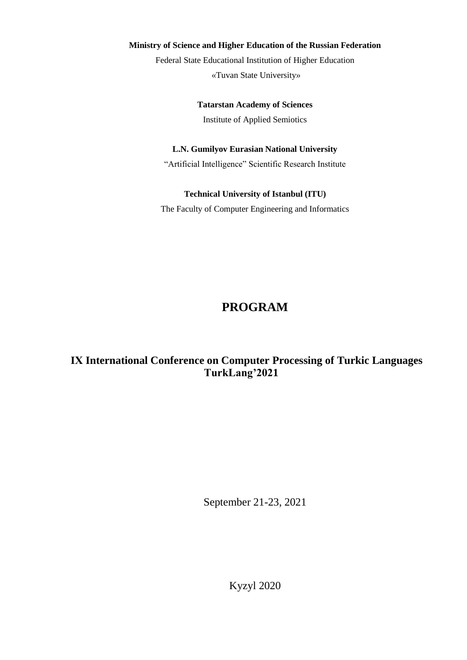#### **Ministry of Science and Higher Education of the Russian Federation**

Federal State Educational Institution of Higher Education «Tuvan State University»

> **Tatarstan Academy of Sciences**  Institute of Applied Semiotics

#### **L.N. Gumilyov Eurasian National University**

"Artificial Intelligence" Scientific Research Institute

#### **Technical University of Istanbul (ITU)**

The Faculty of Computer Engineering and Informatics

# **PROGRAM**

# **IХ International Conference on Computer Processing of Turkic Languages TurkLang'2021**

September 21-23, 2021

Kyzyl 2020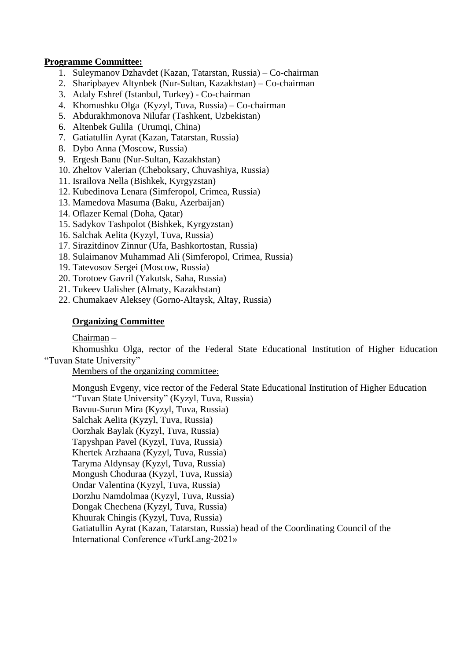#### **Programme Committee:**

- 1. Suleymanov Dzhavdet (Kazan, Tatarstan, Russia) Co-chairman
- 2. Sharipbayev Altynbek (Nur-Sultan, Kazakhstan) Co-chairman
- 3. Adaly Eshref (Istanbul, Turkey) Co-chairman
- 4. Khomushku Olga (Kyzyl, Tuva, Russia) Co-chairman
- 5. Abdurakhmonova Nilufar (Tashkent, Uzbekistan)
- 6. Altenbek Gulila (Urumqi, China)
- 7. Gatiatullin Ayrat (Kazan, Tatarstan, Russia)
- 8. Dybo Anna (Moscow, Russia)
- 9. Ergesh Banu (Nur-Sultan, Kazakhstan)
- 10. Zheltov Valerian (Cheboksary, Chuvashiya, Russia)
- 11. Israilova Nella (Bishkek, Kyrgyzstan)
- 12. Kubedinova Lenara (Simferopol, Crimea, Russia)
- 13. Mamedova Masuma (Baku, Azerbaijan)
- 14. Oflazer Kemal (Doha, Qatar)
- 15. Sadykov Tashpolot (Bishkek, Kyrgyzstan)
- 16. Salchak Aelita (Kyzyl, Tuva, Russia)
- 17. Sirazitdinov Zinnur (Ufa, Bashkortostan, Russia)
- 18. Sulaimanov Muhammad Ali (Simferopol, Crimea, Russia)
- 19. Tatevosov Sergei (Moscow, Russia)
- 20. Torotoev Gavril (Yakutsk, Saha, Russia)
- 21. Tukeev Ualisher (Almaty, Kazakhstan)
- 22. Chumakaev Aleksey (Gorno-Altaysk, Altay, Russia)

#### **Organizing Committee**

#### Chairman –

Khomushku Olga, rector of the Federal State Educational Institution of Higher Education "Tuvan State University"

Members of the organizing committee:

Mongush Evgeny, vice rector of the Federal State Educational Institution of Higher Education "Tuvan State University" (Kyzyl, Tuva, Russia) Bavuu-Surun Mira (Kyzyl, Tuva, Russia) Salchak Aelita (Kyzyl, Tuva, Russia) Oorzhak Baylak (Kyzyl, Tuva, Russia) Tapyshpan Pavel (Kyzyl, Tuva, Russia) Khertek Arzhaana (Kyzyl, Tuva, Russia) Taryma Aldynsay (Kyzyl, Tuva, Russia) Mongush Choduraa (Kyzyl, Tuva, Russia) Ondar Valentina (Kyzyl, Tuva, Russia) Dorzhu Namdolmaa (Kyzyl, Tuva, Russia) Dongak Chechena (Kyzyl, Tuva, Russia) Khuurak Chingis (Kyzyl, Tuva, Russia) Gatiatullin Ayrat (Kazan, Tatarstan, Russia) head of the Coordinating Council of the International Conference «TurkLang-2021»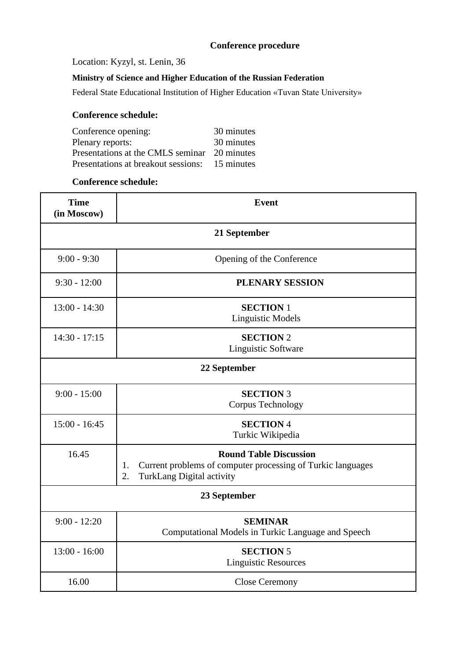### **Conference procedure**

Location: Kyzyl, st. Lenin, 36

### **Ministry of Science and Higher Education of the Russian Federation**

Federal State Educational Institution of Higher Education «Tuvan State University»

#### **Conference schedule:**

| Conference opening:                            | 30 minutes |
|------------------------------------------------|------------|
| Plenary reports:                               | 30 minutes |
| Presentations at the CMLS seminar 20 minutes   |            |
| Presentations at breakout sessions: 15 minutes |            |

#### **Conference schedule:**

| <b>Time</b><br>(in Moscow) | <b>Event</b>                                                                                                                                 |  |  |  |  |
|----------------------------|----------------------------------------------------------------------------------------------------------------------------------------------|--|--|--|--|
|                            | 21 September                                                                                                                                 |  |  |  |  |
| $9:00 - 9:30$              | Opening of the Conference                                                                                                                    |  |  |  |  |
| $9:30 - 12:00$             | PLENARY SESSION                                                                                                                              |  |  |  |  |
| $13:00 - 14:30$            | <b>SECTION 1</b><br><b>Linguistic Models</b>                                                                                                 |  |  |  |  |
| $14:30 - 17:15$            | <b>SECTION 2</b><br>Linguistic Software                                                                                                      |  |  |  |  |
|                            | 22 September                                                                                                                                 |  |  |  |  |
| $9:00 - 15:00$             | <b>SECTION 3</b><br>Corpus Technology                                                                                                        |  |  |  |  |
| $15:00 - 16:45$            | <b>SECTION 4</b><br>Turkic Wikipedia                                                                                                         |  |  |  |  |
| 16.45                      | <b>Round Table Discussion</b><br>Current problems of computer processing of Turkic languages<br>1.<br><b>TurkLang Digital activity</b><br>2. |  |  |  |  |
|                            | 23 September                                                                                                                                 |  |  |  |  |
| $9:00 - 12:20$             | <b>SEMINAR</b><br>Computational Models in Turkic Language and Speech                                                                         |  |  |  |  |
| $13:00 - 16:00$            | <b>SECTION 5</b><br><b>Linguistic Resources</b>                                                                                              |  |  |  |  |
| 16.00                      | <b>Close Ceremony</b>                                                                                                                        |  |  |  |  |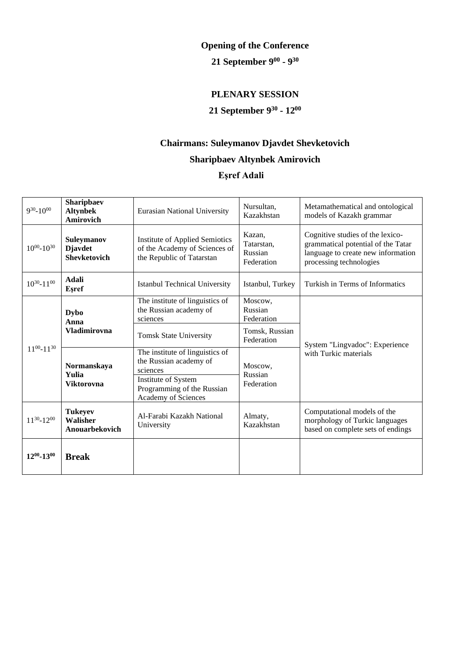# **Opening of the Conference**

#### **21 September 9 00 - 9 30**

# **PLENARY SESSION**

#### **21 September 9 30 - 12 00**

# **Chairmans: Suleymanov Djavdet Shevketovich Sharipbaev Altynbek Amirovich**

### **Eşref Adali**

| $9^{30} - 10^{00}$  | Sharipbaev<br><b>Altynbek</b><br>Amirovich                 | <b>Eurasian National University</b>                                                                 | Nursultan,<br>Kazakhstan                      | Metamathematical and ontological<br>models of Kazakh grammar                                                                            |
|---------------------|------------------------------------------------------------|-----------------------------------------------------------------------------------------------------|-----------------------------------------------|-----------------------------------------------------------------------------------------------------------------------------------------|
| $10^{00} - 10^{30}$ | <b>Suleymanov</b><br><b>Djavdet</b><br><b>Shevketovich</b> | <b>Institute of Applied Semiotics</b><br>of the Academy of Sciences of<br>the Republic of Tatarstan | Kazan.<br>Tatarstan,<br>Russian<br>Federation | Cognitive studies of the lexico-<br>grammatical potential of the Tatar<br>language to create new information<br>processing technologies |
| $10^{30} - 11^{00}$ | <b>Adali</b><br>Esref                                      | <b>Istanbul Technical University</b>                                                                | Istanbul, Turkey                              | Turkish in Terms of Informatics                                                                                                         |
| $11^{00} - 11^{30}$ | Dybo<br>Anna<br><b>Vladimirovna</b>                        | The institute of linguistics of<br>the Russian academy of<br>sciences                               | Moscow,<br>Russian<br>Federation              |                                                                                                                                         |
|                     |                                                            | <b>Tomsk State University</b>                                                                       | Tomsk, Russian<br>Federation                  | System "Lingvadoc": Experience                                                                                                          |
|                     | Normanskaya<br>Yulia<br><b>Viktorovna</b>                  | The institute of linguistics of<br>the Russian academy of<br>sciences                               | Moscow,<br>Russian                            | with Turkic materials                                                                                                                   |
|                     |                                                            | Institute of System<br>Programming of the Russian<br>Academy of Sciences                            | Federation                                    |                                                                                                                                         |
| $11^{30} - 12^{00}$ | <b>Tukeyev</b><br>Walisher<br>Anouarbekovich               | Al-Farabi Kazakh National<br>University                                                             | Almaty,<br>Kazakhstan                         | Computational models of the<br>morphology of Turkic languages<br>based on complete sets of endings                                      |
| $12^{00} - 13^{00}$ | <b>Break</b>                                               |                                                                                                     |                                               |                                                                                                                                         |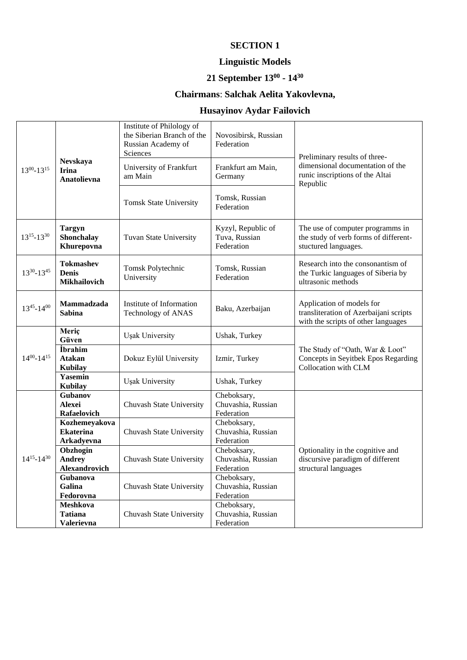# **Linguistic Models**

#### **21 September 13<sup>00</sup> - 14 30**

# **Chairmans**: **Salchak Aelita Yakovlevna,**

# **Husayinov Aydar Failovich**

| $13^{00} - 13^{15}$ | Nevskaya<br><b>Irina</b><br>Anatolievna                | Institute of Philology of<br>the Siberian Branch of the<br>Russian Academy of<br>Sciences<br>University of Frankfurt<br>am Main<br><b>Tomsk State University</b> | Novosibirsk, Russian<br>Federation<br>Frankfurt am Main,<br>Germany<br>Tomsk, Russian<br>Federation | Preliminary results of three-<br>dimensional documentation of the<br>runic inscriptions of the Altai<br>Republic |
|---------------------|--------------------------------------------------------|------------------------------------------------------------------------------------------------------------------------------------------------------------------|-----------------------------------------------------------------------------------------------------|------------------------------------------------------------------------------------------------------------------|
| $13^{15} - 13^{30}$ | <b>Targyn</b><br>Shonchalay<br>Khurepovna              | Tuvan State University                                                                                                                                           | Kyzyl, Republic of<br>Tuva, Russian<br>Federation                                                   | The use of computer programms in<br>the study of verb forms of different-<br>stuctured languages.                |
| 1330-1345           | <b>Tokmashev</b><br><b>Denis</b><br>Mikhailovich       | Tomsk Polytechnic<br>University                                                                                                                                  | Tomsk, Russian<br>Federation                                                                        | Research into the consonantism of<br>the Turkic languages of Siberia by<br>ultrasonic methods                    |
| $13^{45} - 14^{00}$ | Mammadzada<br><b>Sabina</b>                            | Institute of Information<br>Technology of ANAS                                                                                                                   | Baku, Azerbaijan                                                                                    | Application of models for<br>transliteration of Azerbaijani scripts<br>with the scripts of other languages       |
|                     | Meriç<br>Güven                                         | Uşak University                                                                                                                                                  | Ushak, Turkey                                                                                       |                                                                                                                  |
| $14^{00} - 14^{15}$ | <i>i</i> brahim<br><b>Atakan</b><br><b>Kubilay</b>     | Dokuz Eylül University                                                                                                                                           | Izmir, Turkey                                                                                       | The Study of "Oath, War & Loot"<br>Concepts in Seyitbek Epos Regarding<br>Collocation with CLM                   |
|                     | <b>Yasemin</b><br><b>Kubilay</b>                       | Uşak University                                                                                                                                                  | Ushak, Turkey                                                                                       |                                                                                                                  |
|                     | <b>Gubanov</b><br>Alexei<br>Rafaelovich                | Chuvash State University                                                                                                                                         | Cheboksary,<br>Chuvashia, Russian<br>Federation                                                     |                                                                                                                  |
|                     | Kozhemeyakova<br><b>Ekaterina</b><br><b>Arkadyevna</b> | Chuvash State University                                                                                                                                         | Cheboksary,<br>Chuvashia, Russian<br>Federation                                                     |                                                                                                                  |
| $14^{15} - 14^{30}$ | Obzhogin<br><b>Andrey</b><br>Alexandrovich             | Chuvash State University                                                                                                                                         | Cheboksary,<br>Chuvashia, Russian<br>Federation                                                     | Optionality in the cognitive and<br>discursive paradigm of different<br>structural languages                     |
|                     | Gubanova<br>Galina<br>Fedorovna                        | Chuvash State University                                                                                                                                         | Cheboksary,<br>Chuvashia, Russian<br>Federation                                                     |                                                                                                                  |
|                     | <b>Meshkova</b><br><b>Tatiana</b><br><b>Valerievna</b> | Chuvash State University                                                                                                                                         | Cheboksary,<br>Chuvashia, Russian<br>Federation                                                     |                                                                                                                  |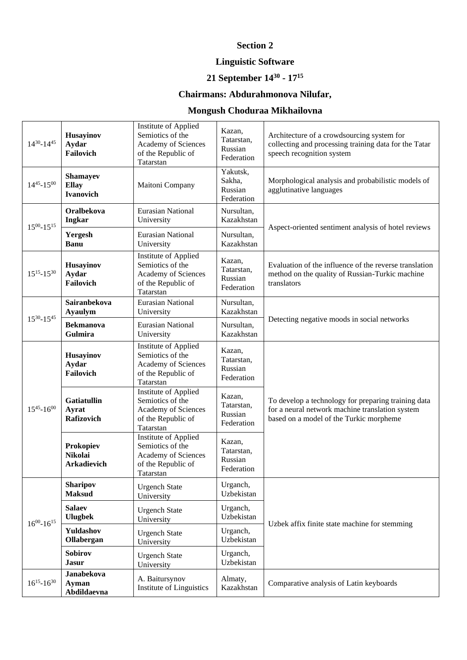# **Section 2**

# **Linguistic Software**

#### **21 September 14<sup>30</sup> - 17 15**

# **Chairmans: Abdurahmonova Nilufar,**

# **Mongush Choduraa Mikhailovna**

| $14^{30} - 14^{45}$                              | Husayinov<br>Aydar<br>Failovich                     | Institute of Applied<br>Semiotics of the<br>Academy of Sciences<br>of the Republic of<br>Tatarstan | Kazan,<br>Tatarstan,<br>Russian<br>Federation | Architecture of a crowdsourcing system for<br>collecting and processing training data for the Tatar<br>speech recognition system                  |
|--------------------------------------------------|-----------------------------------------------------|----------------------------------------------------------------------------------------------------|-----------------------------------------------|---------------------------------------------------------------------------------------------------------------------------------------------------|
| $14^{45} - 15^{00}$                              | <b>Shamayev</b><br><b>Ellay</b><br><b>Ivanovich</b> | Maitoni Company                                                                                    | Yakutsk,<br>Sakha,<br>Russian<br>Federation   | Morphological analysis and probabilistic models of<br>agglutinative languages                                                                     |
| $15^{00} - 15^{15}$                              | Oralbekova<br>Ingkar                                | <b>Eurasian National</b><br>University                                                             | Nursultan,<br>Kazakhstan                      |                                                                                                                                                   |
|                                                  | Yergesh<br><b>Banu</b>                              | Eurasian National<br>University                                                                    | Nursultan,<br>Kazakhstan                      | Aspect-oriented sentiment analysis of hotel reviews                                                                                               |
| $15^{15} - 15^{30}$                              | Husayinov<br>Aydar<br>Failovich                     | Institute of Applied<br>Semiotics of the<br>Academy of Sciences<br>of the Republic of<br>Tatarstan | Kazan,<br>Tatarstan,<br>Russian<br>Federation | Evaluation of the influence of the reverse translation<br>method on the quality of Russian-Turkic machine<br>translators                          |
| <b>Ayaulym</b><br>$15^{30} - 15^{45}$<br>Gulmira | Sairanbekova                                        | <b>Eurasian National</b><br>University                                                             | Nursultan,<br>Kazakhstan                      |                                                                                                                                                   |
|                                                  | <b>Bekmanova</b>                                    | Eurasian National<br>University                                                                    | Nursultan,<br>Kazakhstan                      | Detecting negative moods in social networks                                                                                                       |
|                                                  | Husayinov<br>Aydar<br>Failovich                     | Institute of Applied<br>Semiotics of the<br>Academy of Sciences<br>of the Republic of<br>Tatarstan | Kazan,<br>Tatarstan,<br>Russian<br>Federation |                                                                                                                                                   |
| $15^{45} - 16^{00}$                              | <b>Gatiatullin</b><br>Ayrat<br>Rafizovich           | Institute of Applied<br>Semiotics of the<br>Academy of Sciences<br>of the Republic of<br>Tatarstan | Kazan,<br>Tatarstan,<br>Russian<br>Federation | To develop a technology for preparing training data<br>for a neural network machine translation system<br>based on a model of the Turkic morpheme |
|                                                  | Prokopiev<br><b>Nikolai</b><br><b>Arkadievich</b>   | Institute of Applied<br>Semiotics of the<br>Academy of Sciences<br>of the Republic of<br>Tatarstan | Kazan,<br>Tatarstan,<br>Russian<br>Federation |                                                                                                                                                   |
|                                                  | <b>Sharipov</b><br><b>Maksud</b>                    | <b>Urgench State</b><br>University                                                                 | Urganch,<br>Uzbekistan                        |                                                                                                                                                   |
| $16^{00} - 16^{15}$                              | <b>Salaev</b><br><b>Ulugbek</b>                     | <b>Urgench State</b><br>University                                                                 | Urganch,<br>Uzbekistan                        | Uzbek affix finite state machine for stemming                                                                                                     |
|                                                  | Yuldashov<br>Ollabergan                             | <b>Urgench State</b><br>University                                                                 | Urganch,<br>Uzbekistan                        |                                                                                                                                                   |
|                                                  | Sobirov<br><b>Jasur</b>                             | <b>Urgench State</b><br>University                                                                 | Urganch,<br>Uzbekistan                        |                                                                                                                                                   |
| $16^{15} - 16^{30}$                              | Janabekova<br>Ayman<br>Abdildaevna                  | A. Baitursynov<br>Institute of Linguistics                                                         | Almaty,<br>Kazakhstan                         | Comparative analysis of Latin keyboards                                                                                                           |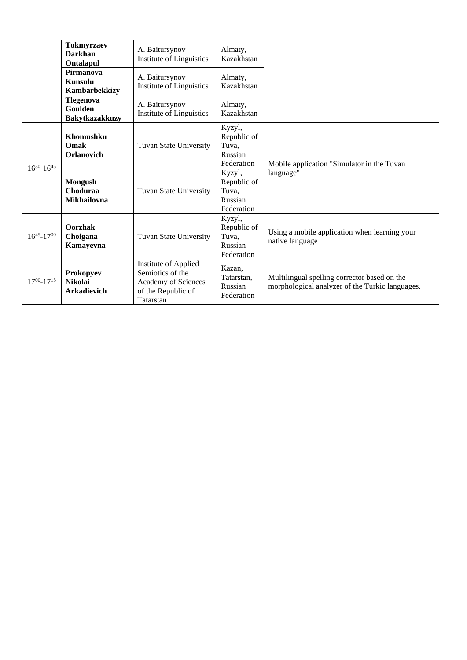|                     | <b>Tokmyrzaev</b><br>Darkhan<br>Ontalapul  | A. Baitursynov<br>Institute of Linguistics                                                         | Almaty,<br>Kazakhstan                                   |                                                                                                 |
|---------------------|--------------------------------------------|----------------------------------------------------------------------------------------------------|---------------------------------------------------------|-------------------------------------------------------------------------------------------------|
|                     | Pirmanova<br>Kunsulu<br>Kambarbekkizy      | A. Baitursynov<br>Institute of Linguistics                                                         | Almaty,<br>Kazakhstan                                   |                                                                                                 |
|                     | Tlegenova<br>Goulden<br>Bakytkazakkuzy     | A. Baitursynov<br>Institute of Linguistics                                                         | Almaty,<br>Kazakhstan                                   |                                                                                                 |
| $16^{30} - 16^{45}$ | Khomushku<br>Omak<br>Orlanovich            | <b>Tuvan State University</b>                                                                      | Kyzyl,<br>Republic of<br>Tuva,<br>Russian<br>Federation | Mobile application "Simulator in the Tuvan                                                      |
|                     | <b>Mongush</b><br>Choduraa<br>Mikhailovna  | Tuvan State University                                                                             | Kyzyl,<br>Republic of<br>Tuva,<br>Russian<br>Federation | language"                                                                                       |
| $16^{45} - 17^{00}$ | Oorzhak<br>Choigana<br>Kamayevna           | Tuvan State University                                                                             | Kyzyl,<br>Republic of<br>Tuva,<br>Russian<br>Federation | Using a mobile application when learning your<br>native language                                |
| $17^{00} - 17^{15}$ | Prokopyev<br>Nikolai<br><b>Arkadievich</b> | Institute of Applied<br>Semiotics of the<br>Academy of Sciences<br>of the Republic of<br>Tatarstan | Kazan,<br>Tatarstan,<br>Russian<br>Federation           | Multilingual spelling corrector based on the<br>morphological analyzer of the Turkic languages. |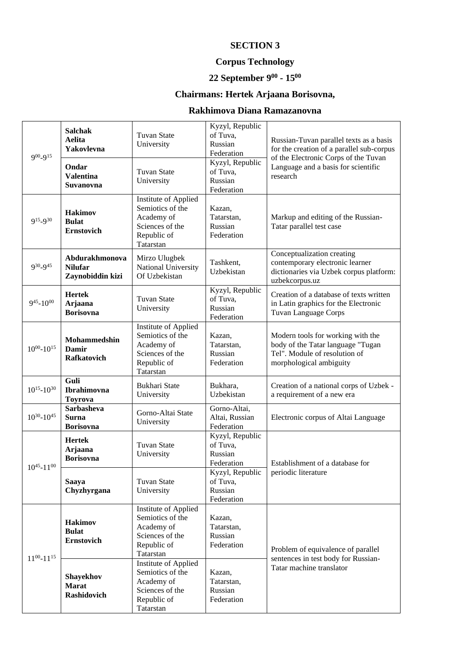# **Corpus Technology**

#### **22 September 9 00 - 15 00**

# **Chairmans: Hertek Arjaana Borisovna,**

### **Rakhimova Diana Ramazanovna**

| $9^{00} - 9^{15}$   | <b>Salchak</b><br>Aelita<br>Yakovlevna<br>Ondar<br><b>Valentina</b><br>Suvanovna | <b>Tuvan State</b><br>University<br><b>Tuvan State</b><br>University                                  | Kyzyl, Republic<br>of Tuva,<br>Russian<br>Federation<br>Kyzyl, Republic<br>of Tuva,<br>Russian<br>Federation | Russian-Tuvan parallel texts as a basis<br>for the creation of a parallel sub-corpus<br>of the Electronic Corps of the Tuvan<br>Language and a basis for scientific<br>research |
|---------------------|----------------------------------------------------------------------------------|-------------------------------------------------------------------------------------------------------|--------------------------------------------------------------------------------------------------------------|---------------------------------------------------------------------------------------------------------------------------------------------------------------------------------|
| 915_930             | <b>Hakimov</b><br><b>Bulat</b><br><b>Ernstovich</b>                              | Institute of Applied<br>Semiotics of the<br>Academy of<br>Sciences of the<br>Republic of<br>Tatarstan | Kazan,<br>Tatarstan,<br>Russian<br>Federation                                                                | Markup and editing of the Russian-<br>Tatar parallel test case                                                                                                                  |
| 930_945             | Abdurakhmonova<br><b>Nilufar</b><br>Zaynobiddin kizi                             | Mirzo Ulugbek<br>National University<br>Of Uzbekistan                                                 | Tashkent,<br>Uzbekistan                                                                                      | Conceptualization creating<br>contemporary electronic learner<br>dictionaries via Uzbek corpus platform:<br>uzbekcorpus.uz                                                      |
| $9^{45} - 10^{00}$  | <b>Hertek</b><br>Arjaana<br><b>Borisovna</b>                                     | <b>Tuvan State</b><br>University                                                                      | Kyzyl, Republic<br>of Tuva,<br>Russian<br>Federation                                                         | Creation of a database of texts written<br>in Latin graphics for the Electronic<br>Tuvan Language Corps                                                                         |
| $10^{00} - 10^{15}$ | Mohammedshin<br>Damir<br>Rafkatovich                                             | Institute of Applied<br>Semiotics of the<br>Academy of<br>Sciences of the<br>Republic of<br>Tatarstan | Kazan,<br>Tatarstan,<br>Russian<br>Federation                                                                | Modern tools for working with the<br>body of the Tatar language "Tugan<br>Tel". Module of resolution of<br>morphological ambiguity                                              |
| $10^{15} - 10^{30}$ | Guli<br>Ibrahimovna<br><b>Toyrova</b>                                            | <b>Bukhari State</b><br>University                                                                    | Bukhara,<br>Uzbekistan                                                                                       | Creation of a national corps of Uzbek -<br>a requirement of a new era                                                                                                           |
| $10^{30} - 10^{45}$ | <b>Sarbasheva</b><br><b>Surna</b><br><b>Borisovna</b>                            | Gorno-Altai State<br>University                                                                       | Gorno-Altai,<br>Altai, Russian<br>Federation                                                                 | Electronic corpus of Altai Language                                                                                                                                             |
| $10^{45} - 11^{00}$ | <b>Hertek</b><br>Arjaana<br><b>Borisovna</b>                                     | <b>Tuvan State</b><br>University                                                                      | Kyzyl, Republic<br>of Tuva,<br>Russian<br>Federation                                                         | Establishment of a database for                                                                                                                                                 |
|                     | <b>Saaya</b><br>Chyzhyrgana                                                      | <b>Tuvan State</b><br>University                                                                      | Kyzyl, Republic<br>of Tuva,<br>Russian<br>Federation                                                         | periodic literature                                                                                                                                                             |
|                     | <b>Hakimov</b><br><b>Bulat</b><br><b>Ernstovich</b>                              | Institute of Applied<br>Semiotics of the<br>Academy of<br>Sciences of the<br>Republic of<br>Tatarstan | Kazan,<br>Tatarstan,<br>Russian<br>Federation                                                                | Problem of equivalence of parallel                                                                                                                                              |
| $11^{00} - 11^{15}$ | Shayekhov<br><b>Marat</b><br>Rashidovich                                         | Institute of Applied<br>Semiotics of the<br>Academy of<br>Sciences of the<br>Republic of<br>Tatarstan | Kazan,<br>Tatarstan,<br>Russian<br>Federation                                                                | sentences in test body for Russian-<br>Tatar machine translator                                                                                                                 |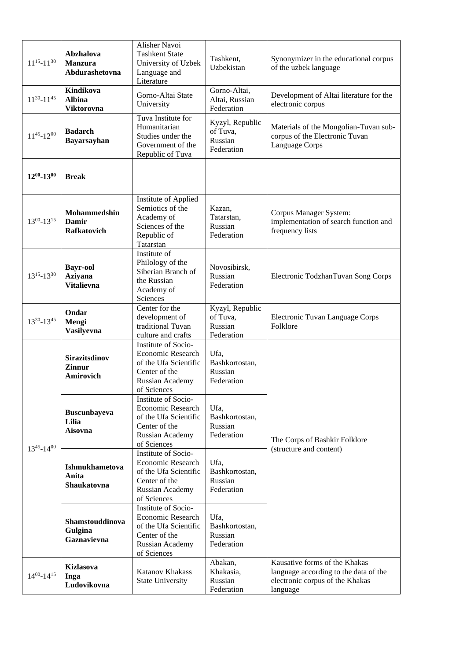| $11^{15} - 11^{30}$ | Abzhalova<br><b>Manzura</b><br>Abdurashetovna          | Alisher Navoi<br><b>Tashkent State</b><br>University of Uzbek<br>Language and<br>Literature                                 | Tashkent,<br>Uzbekistan                              | Synonymizer in the educational corpus<br>of the uzbek language                                                        |
|---------------------|--------------------------------------------------------|-----------------------------------------------------------------------------------------------------------------------------|------------------------------------------------------|-----------------------------------------------------------------------------------------------------------------------|
| $11^{30} - 11^{45}$ | Kindikova<br><b>Albina</b><br><b>Viktorovna</b>        | Gorno-Altai State<br>University                                                                                             | Gorno-Altai,<br>Altai, Russian<br>Federation         | Development of Altai literature for the<br>electronic corpus                                                          |
| $11^{45} - 12^{00}$ | <b>Badarch</b><br><b>Bayarsayhan</b>                   | Tuva Institute for<br>Humanitarian<br>Studies under the<br>Government of the<br>Republic of Tuva                            | Kyzyl, Republic<br>of Tuva,<br>Russian<br>Federation | Materials of the Mongolian-Tuvan sub-<br>corpus of the Electronic Tuvan<br>Language Corps                             |
| $12^{00} - 13^{00}$ | <b>Break</b>                                           |                                                                                                                             |                                                      |                                                                                                                       |
| $13^{00} - 13^{15}$ | Mohammedshin<br>Damir<br><b>Rafkatovich</b>            | Institute of Applied<br>Semiotics of the<br>Academy of<br>Sciences of the<br>Republic of<br>Tatarstan                       | Kazan,<br>Tatarstan,<br>Russian<br>Federation        | Corpus Manager System:<br>implementation of search function and<br>frequency lists                                    |
| $13^{15} - 13^{30}$ | <b>Bayr-ool</b><br><b>Aziyana</b><br><b>Vitalievna</b> | Institute of<br>Philology of the<br>Siberian Branch of<br>the Russian<br>Academy of<br>Sciences                             | Novosibirsk,<br>Russian<br>Federation                | Electronic TodzhanTuvan Song Corps                                                                                    |
| $13^{30} - 13^{45}$ | Ondar<br>Mengi<br>Vasilyevna                           | Center for the<br>development of<br>traditional Tuvan<br>culture and crafts                                                 | Kyzyl, Republic<br>of Tuva,<br>Russian<br>Federation | Electronic Tuvan Language Corps<br>Folklore                                                                           |
|                     | <b>Sirazitsdinov</b><br><b>Zinnur</b><br>Amirovich     | Institute of Socio-<br>Economic Research<br>of the Ufa Scientific<br>Center of the<br>Russian Academy<br>of Sciences        | Ufa,<br>Bashkortostan,<br>Russian<br>Federation      |                                                                                                                       |
| $13^{45} - 14^{00}$ | <b>Buscunbayeva</b><br>Lilia<br><b>Aisovna</b>         | Institute of Socio-<br><b>Economic Research</b><br>of the Ufa Scientific<br>Center of the<br>Russian Academy<br>of Sciences | Ufa,<br>Bashkortostan,<br>Russian<br>Federation      | The Corps of Bashkir Folklore<br>(structure and content)                                                              |
|                     | <b>Ishmukhametova</b><br>Anita<br>Shaukatovna          | Institute of Socio-<br><b>Economic Research</b><br>of the Ufa Scientific<br>Center of the<br>Russian Academy<br>of Sciences | Ufa,<br>Bashkortostan,<br>Russian<br>Federation      |                                                                                                                       |
|                     | Shamstouddinova<br>Gulgina<br>Gaznavievna              | Institute of Socio-<br><b>Economic Research</b><br>of the Ufa Scientific<br>Center of the<br>Russian Academy<br>of Sciences | Ufa,<br>Bashkortostan,<br>Russian<br>Federation      |                                                                                                                       |
| $14^{00} - 14^{15}$ | Kizlasova<br>Inga<br>Ludovikovna                       | Katanov Khakass<br><b>State University</b>                                                                                  | Abakan,<br>Khakasia,<br>Russian<br>Federation        | Kausative forms of the Khakas<br>language according to the data of the<br>electronic corpus of the Khakas<br>language |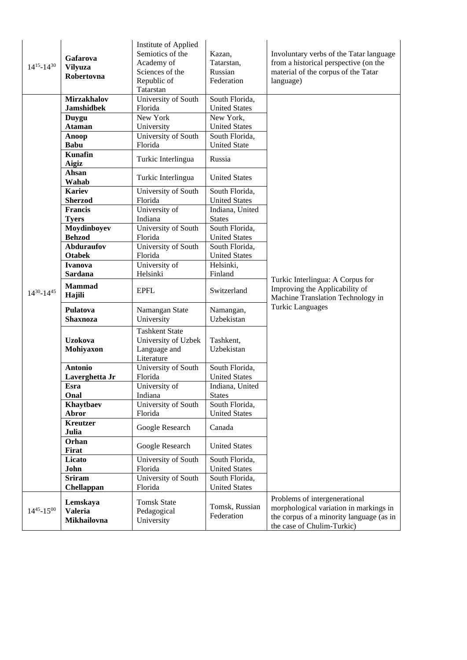| $14^{15} - 14^{30}$ | Gafarova<br><b>Vilyuza</b><br>Robertovna  | Institute of Applied<br>Semiotics of the<br>Academy of<br>Sciences of the<br>Republic of<br>Tatarstan | Kazan,<br>Tatarstan,<br>Russian<br>Federation | Involuntary verbs of the Tatar language<br>from a historical perspective (on the<br>material of the corpus of the Tatar<br>language)              |
|---------------------|-------------------------------------------|-------------------------------------------------------------------------------------------------------|-----------------------------------------------|---------------------------------------------------------------------------------------------------------------------------------------------------|
|                     | <b>Mirzakhalov</b>                        | University of South                                                                                   | South Florida,                                |                                                                                                                                                   |
|                     | <b>Jamshidbek</b>                         | Florida                                                                                               | <b>United States</b>                          |                                                                                                                                                   |
|                     | <b>Duygu</b>                              | New York                                                                                              | New York,                                     |                                                                                                                                                   |
|                     | <b>Ataman</b>                             | University                                                                                            | <b>United States</b>                          |                                                                                                                                                   |
|                     | <b>Anoop</b>                              | University of South                                                                                   | South Florida,                                |                                                                                                                                                   |
|                     | <b>Babu</b>                               | Florida                                                                                               | <b>United State</b>                           |                                                                                                                                                   |
|                     | <b>Kunafin</b><br>Aigiz                   | Turkic Interlingua                                                                                    | Russia                                        |                                                                                                                                                   |
|                     | Ahsan<br>Wahab                            | Turkic Interlingua                                                                                    | <b>United States</b>                          |                                                                                                                                                   |
|                     | <b>Kariev</b>                             | University of South                                                                                   | South Florida,                                |                                                                                                                                                   |
|                     | <b>Sherzod</b>                            | Florida                                                                                               | <b>United States</b>                          |                                                                                                                                                   |
|                     | <b>Francis</b>                            | University of                                                                                         | Indiana, United                               |                                                                                                                                                   |
|                     | <b>Tyers</b>                              | Indiana                                                                                               | <b>States</b>                                 |                                                                                                                                                   |
|                     | Moydinboyev                               | University of South                                                                                   | South Florida,                                |                                                                                                                                                   |
|                     | <b>Behzod</b>                             | Florida                                                                                               | <b>United States</b>                          |                                                                                                                                                   |
| $14^{30} - 14^{45}$ | <b>Abduraufov</b>                         | University of South                                                                                   | South Florida,                                |                                                                                                                                                   |
|                     | <b>Otabek</b>                             | Florida                                                                                               | <b>United States</b>                          |                                                                                                                                                   |
|                     | <b>Ivanova</b>                            | University of                                                                                         | Helsinki,                                     |                                                                                                                                                   |
|                     | Sardana                                   | Helsinki                                                                                              | Finland                                       |                                                                                                                                                   |
|                     | <b>Mammad</b><br>Hajili                   | <b>EPFL</b>                                                                                           | Switzerland                                   | Turkic Interlingua: A Corpus for<br>Improving the Applicability of<br>Machine Translation Technology in                                           |
|                     | Pulatova<br><b>Shaxnoza</b>               | Namangan State<br>University                                                                          | Namangan,<br>Uzbekistan                       | <b>Turkic Languages</b>                                                                                                                           |
|                     | <b>Uzokova</b><br>Mohiyaxon               | <b>Tashkent State</b><br>University of Uzbek<br>Language and<br>Literature                            | Tashkent,<br>Uzbekistan                       |                                                                                                                                                   |
|                     | <b>Antonio</b>                            | University of South                                                                                   | South Florida,                                |                                                                                                                                                   |
|                     | Laverghetta Jr                            | Florida                                                                                               | <b>United States</b>                          |                                                                                                                                                   |
|                     | Esra                                      | University of                                                                                         | Indiana, United                               |                                                                                                                                                   |
|                     | Onal                                      | Indiana                                                                                               | <b>States</b>                                 |                                                                                                                                                   |
|                     | Khaytbaev                                 | University of South                                                                                   | South Florida,                                |                                                                                                                                                   |
|                     | Abror                                     | Florida                                                                                               | <b>United States</b>                          |                                                                                                                                                   |
|                     | <b>Kreutzer</b><br>Julia                  | Google Research                                                                                       | Canada                                        |                                                                                                                                                   |
|                     | Orhan<br>Firat                            | Google Research                                                                                       | <b>United States</b>                          |                                                                                                                                                   |
|                     | Licato<br>John                            | University of South<br>Florida                                                                        | South Florida,<br><b>United States</b>        |                                                                                                                                                   |
|                     | <b>Sriram</b>                             | University of South                                                                                   | South Florida,                                |                                                                                                                                                   |
|                     | Chellappan                                | Florida                                                                                               | <b>United States</b>                          |                                                                                                                                                   |
| $14^{45} - 15^{00}$ | Lemskaya<br><b>Valeria</b><br>Mikhailovna | <b>Tomsk State</b><br>Pedagogical<br>University                                                       | Tomsk, Russian<br>Federation                  | Problems of intergenerational<br>morphological variation in markings in<br>the corpus of a minority language (as in<br>the case of Chulim-Turkic) |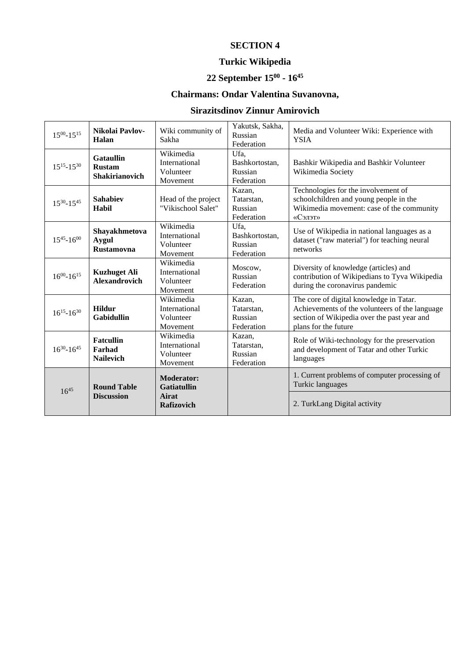# **Turkic Wikipedia**

#### **22 September 15<sup>00</sup> - 16 45**

# **Chairmans: Ondar Valentina Suvanovna,**

# **Sirazitsdinov Zinnur Amirovich**

| $15^{00} - 15^{15}$ | Nikolai Pavlov-<br>Halan                            | Wiki community of<br>Sakha                                            | Yakutsk, Sakha,<br>Russian<br>Federation        | Media and Volunteer Wiki: Experience with<br><b>YSIA</b>                                                                                                         |
|---------------------|-----------------------------------------------------|-----------------------------------------------------------------------|-------------------------------------------------|------------------------------------------------------------------------------------------------------------------------------------------------------------------|
| $15^{15} - 15^{30}$ | <b>Gataullin</b><br><b>Rustam</b><br>Shakirianovich | Wikimedia<br>International<br>Volunteer<br>Movement                   | Ufa.<br>Bashkortostan,<br>Russian<br>Federation | Bashkir Wikipedia and Bashkir Volunteer<br>Wikimedia Society                                                                                                     |
| $15^{30} - 15^{45}$ | <b>Sahabiev</b><br>Habil                            | Head of the project<br>"Vikischool Salet"                             | Kazan,<br>Tatarstan,<br>Russian<br>Federation   | Technologies for the involvement of<br>schoolchildren and young people in the<br>Wikimedia movement: case of the community<br>«Сэлэт»                            |
| $15^{45} - 16^{00}$ | Shayakhmetova<br><b>Aygul</b><br><b>Rustamovna</b>  | Wikimedia<br>International<br>Volunteer<br>Movement                   | Ufa,<br>Bashkortostan,<br>Russian<br>Federation | Use of Wikipedia in national languages as a<br>dataset ("raw material") for teaching neural<br>networks                                                          |
| $16^{00} - 16^{15}$ | <b>Kuzhuget Ali</b><br><b>Alexandrovich</b>         | Wikimedia<br>International<br>Volunteer<br>Movement                   | Moscow,<br>Russian<br>Federation                | Diversity of knowledge (articles) and<br>contribution of Wikipedians to Tyva Wikipedia<br>during the coronavirus pandemic                                        |
| $16^{15} - 16^{30}$ | <b>Hildur</b><br><b>Gabidullin</b>                  | Wikimedia<br>International<br>Volunteer<br>Movement                   | Kazan,<br>Tatarstan,<br>Russian<br>Federation   | The core of digital knowledge in Tatar.<br>Achievements of the volunteers of the language<br>section of Wikipedia over the past year and<br>plans for the future |
| $16^{30} - 16^{45}$ | <b>Fatcullin</b><br>Farhad<br><b>Nailevich</b>      | Wikimedia<br>International<br>Volunteer<br>Movement                   | Kazan,<br>Tatarstan,<br>Russian<br>Federation   | Role of Wiki-technology for the preservation<br>and development of Tatar and other Turkic<br>languages                                                           |
| $16^{45}$           | <b>Round Table</b><br><b>Discussion</b>             | <b>Moderator:</b><br><b>Gatiatullin</b><br>Airat<br><b>Rafizovich</b> |                                                 | 1. Current problems of computer processing of<br>Turkic languages<br>2. TurkLang Digital activity                                                                |
|                     |                                                     |                                                                       |                                                 |                                                                                                                                                                  |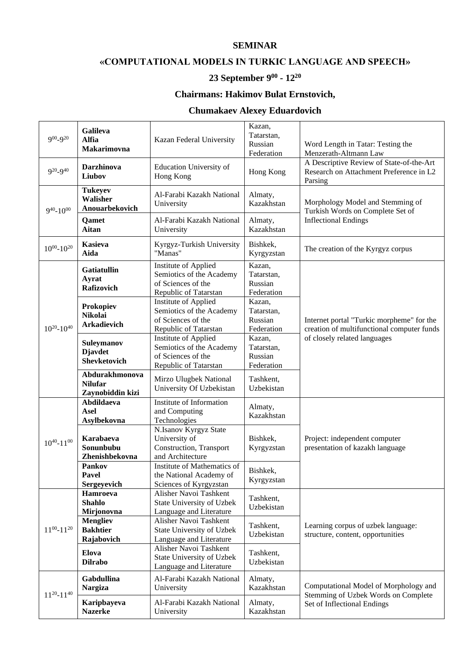#### **SEMINAR**

### **«COMPUTATIONAL MODELS IN TURKIC LANGUAGE AND SPEECH»**

#### **23 September 9 00 - 12 20**

### **Chairmans: Hakimov Bulat Ernstovich,**

### **Chumakaev Alexey Eduardovich**

| $9^{00} - 9^{20}$   | Galileva<br><b>Alfia</b><br>Makarimovna              | Kazan Federal University                                                                        | Kazan,<br>Tatarstan,<br>Russian<br>Federation | Word Length in Tatar: Testing the<br>Menzerath-Altmann Law                                     |
|---------------------|------------------------------------------------------|-------------------------------------------------------------------------------------------------|-----------------------------------------------|------------------------------------------------------------------------------------------------|
| $9^{20} - 9^{40}$   | Darzhinova<br>Liubov                                 | Education University of<br>Hong Kong                                                            | Hong Kong                                     | A Descriptive Review of State-of-the-Art<br>Research on Attachment Preference in L2<br>Parsing |
| $9^{40} - 10^{00}$  | <b>Tukeyev</b><br>Walisher<br>Anouarbekovich         | Al-Farabi Kazakh National<br>University                                                         | Almaty,<br>Kazakhstan                         | Morphology Model and Stemming of<br>Turkish Words on Complete Set of                           |
|                     | Qamet<br>Aitan                                       | Al-Farabi Kazakh National<br>University                                                         | Almaty,<br>Kazakhstan                         | <b>Inflectional Endings</b>                                                                    |
| $10^{00} - 10^{20}$ | Kasieva<br>Aida                                      | Kyrgyz-Turkish University<br>"Manas"                                                            | Bishkek,<br>Kyrgyzstan                        | The creation of the Kyrgyz corpus                                                              |
|                     | <b>Gatiatullin</b><br>Ayrat<br>Rafizovich            | Institute of Applied<br>Semiotics of the Academy<br>of Sciences of the<br>Republic of Tatarstan | Kazan,<br>Tatarstan,<br>Russian<br>Federation |                                                                                                |
| $10^{20} - 10^{40}$ | Prokopiev<br><b>Nikolai</b><br>Arkadievich           | Institute of Applied<br>Semiotics of the Academy<br>of Sciences of the<br>Republic of Tatarstan | Kazan,<br>Tatarstan,<br>Russian<br>Federation | Internet portal "Turkic morpheme" for the<br>creation of multifunctional computer funds        |
|                     | Suleymanov<br><b>D</b> javdet<br>Shevketovich        | Institute of Applied<br>Semiotics of the Academy<br>of Sciences of the<br>Republic of Tatarstan | Kazan,<br>Tatarstan,<br>Russian<br>Federation | of closely related languages                                                                   |
|                     | Abdurakhmonova<br><b>Nilufar</b><br>Zaynobiddin kizi | Mirzo Ulugbek National<br>University Of Uzbekistan                                              | Tashkent,<br>Uzbekistan                       |                                                                                                |
|                     | Abdildaeva<br>Asel<br>Asylbekovna                    | Institute of Information<br>and Computing<br>Technologies                                       | Almaty,<br>Kazakhstan                         |                                                                                                |
| $10^{40} - 11^{00}$ | Karabaeva<br>Sonunbubu<br>Zhenishbekovna             | N.Isanov Kyrgyz State<br>University of<br>Construction, Transport<br>and Architecture           | Bishkek,<br>Kyrgyzstan                        | Project: independent computer<br>presentation of kazakh language                               |
|                     | <b>Pankov</b><br><b>Pavel</b><br>Sergeyevich         | Institute of Mathematics of<br>the National Academy of<br>Sciences of Kyrgyzstan                | Bishkek,<br>Kyrgyzstan                        |                                                                                                |
|                     | <b>Hamroeva</b><br><b>Shahlo</b><br>Mirjonovna       | Alisher Navoi Tashkent<br>State University of Uzbek<br>Language and Literature                  | Tashkent,<br>Uzbekistan                       |                                                                                                |
| $11^{00} - 11^{20}$ | <b>Mengliev</b><br><b>Bakhtier</b><br>Rajabovich     | Alisher Navoi Tashkent<br>State University of Uzbek<br>Language and Literature                  | Tashkent,<br>Uzbekistan                       | Learning corpus of uzbek language:<br>structure, content, opportunities                        |
|                     | Elova<br><b>Dilrabo</b>                              | Alisher Navoi Tashkent<br>State University of Uzbek<br>Language and Literature                  | Tashkent,<br>Uzbekistan                       |                                                                                                |
|                     | Gabdullina<br><b>Nargiza</b>                         | Al-Farabi Kazakh National<br>University                                                         | Almaty,<br>Kazakhstan                         | Computational Model of Morphology and<br>Stemming of Uzbek Words on Complete                   |
| $11^{20} - 11^{40}$ | Karipbayeva<br><b>Nazerke</b>                        | Al-Farabi Kazakh National<br>University                                                         | Almaty,<br>Kazakhstan                         | Set of Inflectional Endings                                                                    |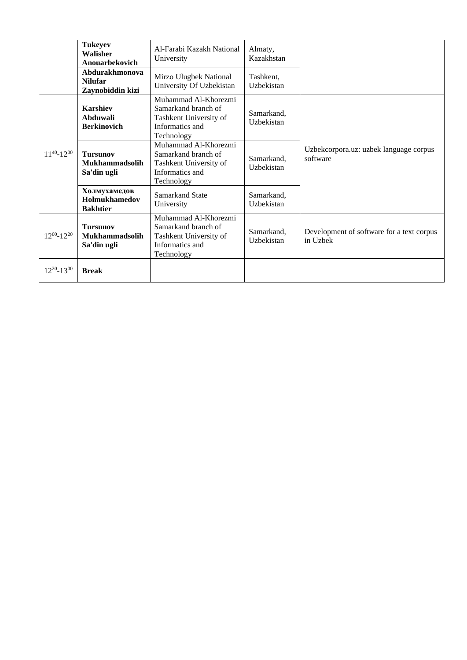|                     | <b>Tukeyev</b><br>Walisher<br>Anouarbekovich            | Al-Farabi Kazakh National<br>University                                                                | Almaty,<br>Kazakhstan    |                                                       |
|---------------------|---------------------------------------------------------|--------------------------------------------------------------------------------------------------------|--------------------------|-------------------------------------------------------|
|                     | Abdurakhmonova<br><b>Nilufar</b><br>Zaynobiddin kizi    | Mirzo Ulugbek National<br>University Of Uzbekistan                                                     | Tashkent,<br>Uzbekistan  |                                                       |
|                     | <b>Karshiev</b><br>Abduwali<br><b>Berkinovich</b>       | Muhammad Al-Khorezmi<br>Samarkand branch of<br>Tashkent University of<br>Informatics and<br>Technology | Samarkand,<br>Uzbekistan |                                                       |
| $11^{40} - 12^{00}$ | <b>Tursunov</b><br><b>Mukhammadsolih</b><br>Sa'din ugli | Muhammad Al-Khorezmi<br>Samarkand branch of<br>Tashkent University of<br>Informatics and<br>Technology | Samarkand,<br>Uzbekistan | Uzbekcorpora.uz: uzbek language corpus<br>software    |
|                     | Холмухамедов<br>Holmukhamedov<br><b>Bakhtier</b>        | Samarkand State<br>University                                                                          | Samarkand.<br>Uzbekistan |                                                       |
| $12^{00} - 12^{20}$ | <b>Tursunov</b><br><b>Mukhammadsolih</b><br>Sa'din ugli | Muhammad Al-Khorezmi<br>Samarkand branch of<br>Tashkent University of<br>Informatics and<br>Technology | Samarkand,<br>Uzbekistan | Development of software for a text corpus<br>in Uzbek |
| $12^{20} - 13^{00}$ | <b>Break</b>                                            |                                                                                                        |                          |                                                       |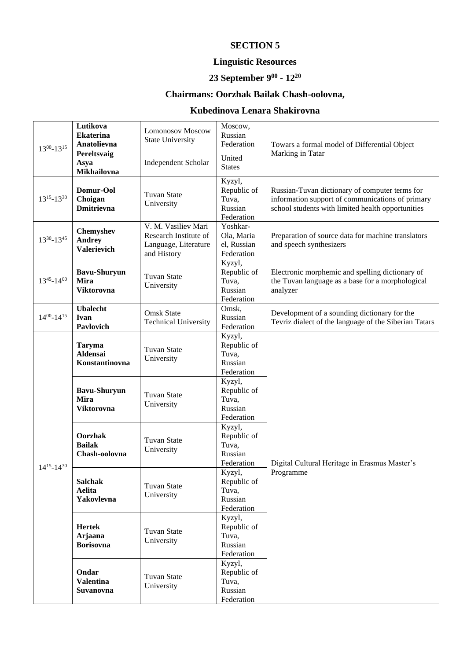### **Linguistic Resources**

#### **23 September 9 00 - 12 20**

# **Chairmans: Oorzhak Bailak Chash-oolovna,**

### **Kubedinova Lenara Shakirovna**

| $13^{00} - 13^{15}$ | Lutikova<br><b>Ekaterina</b><br>Anatolievna             | <b>Lomonosov Moscow</b><br><b>State University</b>                                  | Moscow,<br>Russian<br>Federation                        | Towars a formal model of Differential Object<br>Marking in Tatar                                                                                        |
|---------------------|---------------------------------------------------------|-------------------------------------------------------------------------------------|---------------------------------------------------------|---------------------------------------------------------------------------------------------------------------------------------------------------------|
|                     | Pereltsvaig<br>Asya<br>Mikhailovna                      | <b>Independent Scholar</b>                                                          | United<br><b>States</b>                                 |                                                                                                                                                         |
| $13^{15} - 13^{30}$ | Domur-Ool<br>Choigan<br><b>Dmitrievna</b>               | <b>Tuvan State</b><br>University                                                    | Kyzyl,<br>Republic of<br>Tuva,<br>Russian<br>Federation | Russian-Tuvan dictionary of computer terms for<br>information support of communications of primary<br>school students with limited health opportunities |
| 1330-1345           | Chemyshev<br><b>Andrey</b><br><b>Valerievich</b>        | V. M. Vasiliev Mari<br>Research Institute of<br>Language, Literature<br>and History | Yoshkar-<br>Ola, Maria<br>el, Russian<br>Federation     | Preparation of source data for machine translators<br>and speech synthesizers                                                                           |
| $13^{45} - 14^{00}$ | <b>Bavu-Shuryun</b><br><b>Mira</b><br><b>Viktorovna</b> | <b>Tuvan State</b><br>University                                                    | Kyzyl,<br>Republic of<br>Tuva,<br>Russian<br>Federation | Electronic morphemic and spelling dictionary of<br>the Tuvan language as a base for a morphological<br>analyzer                                         |
| $14^{00} - 14^{15}$ | <b>Ubalecht</b><br>Ivan<br>Pavlovich                    | <b>Omsk State</b><br><b>Technical University</b>                                    | Omsk,<br>Russian<br>Federation                          | Development of a sounding dictionary for the<br>Tevriz dialect of the language of the Siberian Tatars                                                   |
| $14^{15} - 14^{30}$ | Taryma<br>Aldensai<br>Konstantinovna                    | Tuvan State<br>University                                                           | Kyzyl,<br>Republic of<br>Tuva,<br>Russian<br>Federation | Digital Cultural Heritage in Erasmus Master's<br>Programme                                                                                              |
|                     | <b>Bavu-Shuryun</b><br><b>Mira</b><br><b>Viktorovna</b> | Tuvan State<br>University                                                           | Kyzyl,<br>Republic of<br>Tuva,<br>Russian<br>Federation |                                                                                                                                                         |
|                     | Oorzhak<br><b>Bailak</b><br>Chash-oolovna               | Tuvan State<br>University                                                           | Kyzyl,<br>Republic of<br>Tuva,<br>Russian<br>Federation |                                                                                                                                                         |
|                     | <b>Salchak</b><br>Aelita<br>Yakovlevna                  | Tuvan State<br>University                                                           | Kyzyl,<br>Republic of<br>Tuva,<br>Russian<br>Federation |                                                                                                                                                         |
|                     | <b>Hertek</b><br>Arjaana<br><b>Borisovna</b>            | Tuvan State<br>University                                                           | Kyzyl,<br>Republic of<br>Tuva,<br>Russian<br>Federation |                                                                                                                                                         |
|                     | Ondar<br><b>Valentina</b><br>Suvanovna                  | Tuvan State<br>University                                                           | Kyzyl,<br>Republic of<br>Tuva,<br>Russian<br>Federation |                                                                                                                                                         |